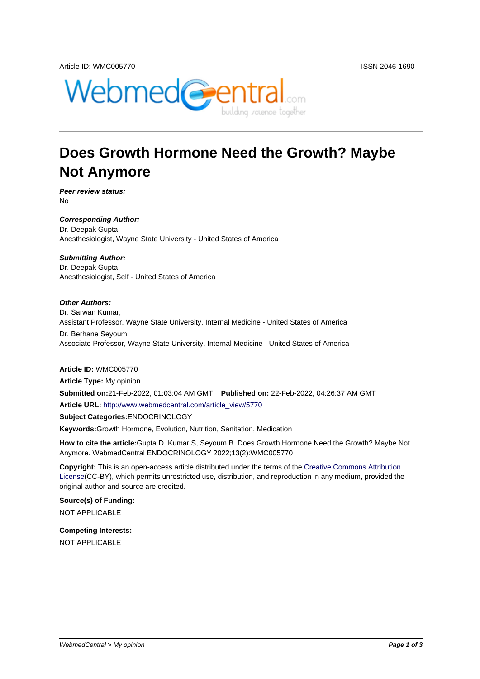

# **Does Growth Hormone Need the Growth? Maybe Not Anymore**

**Peer review status:** No

**Corresponding Author:** Dr. Deepak Gupta, Anesthesiologist, Wayne State University - United States of America

**Submitting Author:** Dr. Deepak Gupta, Anesthesiologist, Self - United States of America

#### **Other Authors:**

Dr. Sarwan Kumar, Assistant Professor, Wayne State University, Internal Medicine - United States of America

Dr. Berhane Seyoum, Associate Professor, Wayne State University, Internal Medicine - United States of America

#### **Article ID:** WMC005770

**Article Type:** My opinion **Submitted on:**21-Feb-2022, 01:03:04 AM GMT **Published on:** 22-Feb-2022, 04:26:37 AM GMT **Article URL:** http://www.webmedcentral.com/article\_view/5770 **Subject Categories:**ENDOCRINOLOGY **Keywords:**Growth Hormone, Evolution, Nutrition, Sanitation, Medication

**How to cite the article:**[Gupta D, Kumar S, Seyoum B. Does G](http://www.webmedcentral.com/article_view/5770)rowth Hormone Need the Growth? Maybe Not Anymore. WebmedCentral ENDOCRINOLOGY 2022;13(2):WMC005770

**Copyright:** This is an open-access article distributed under the terms of the Creative Commons Attribution License(CC-BY), which permits unrestricted use, distribution, and reproduction in any medium, provided the original author and source are credited.

**Source(s) of Funding:** [NOT AP](http://creativecommons.org/licenses/by/3.0/)PLICABLE

**Competing Interests:** NOT APPLICABLE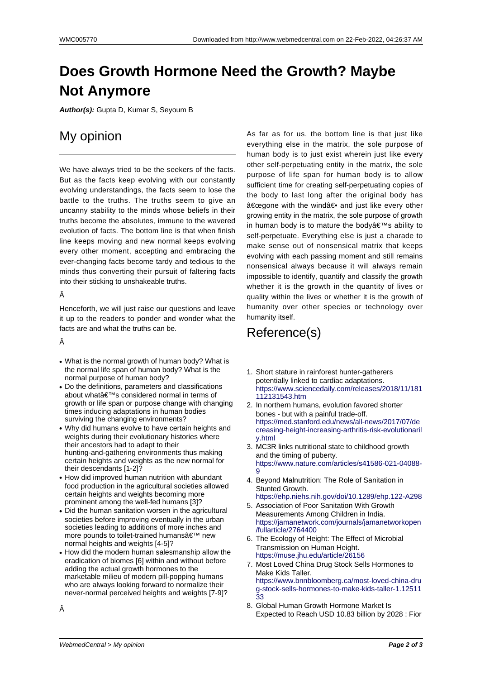## **Does Growth Hormone Need the Growth? Maybe Not Anymore**

**Author(s):** Gupta D, Kumar S, Seyoum B

## My opinion

We have always tried to be the seekers of the facts. But as the facts keep evolving with our constantly evolving understandings, the facts seem to lose the battle to the truths. The truths seem to give an uncanny stability to the minds whose beliefs in their truths become the absolutes, immune to the wavered evolution of facts. The bottom line is that when finish line keeps moving and new normal keeps evolving every other moment, accepting and embracing the ever-changing facts become tardy and tedious to the minds thus converting their pursuit of faltering facts into their sticking to unshakeable truths.

### Â

Henceforth, we will just raise our questions and leave it up to the readers to ponder and wonder what the facts are and what the truths can be.

Â

- What is the normal growth of human body? What is the normal life span of human body? What is the normal purpose of human body?
- Do the definitions, parameters and classifications about what's considered normal in terms of growth or life span or purpose change with changing times inducing adaptations in human bodies surviving the changing environments?
- Why did humans evolve to have certain heights and weights during their evolutionary histories where their ancestors had to adapt to their hunting-and-gathering environments thus making certain heights and weights as the new normal for their descendants [1-2]?
- How did improved human nutrition with abundant food production in the agricultural societies allowed certain heights and weights becoming more prominent among the well-fed humans [3]?
- Did the human sanitation worsen in the agricultural societies before improving eventually in the urban societies leading to additions of more inches and more pounds to toilet-trained humans $\hat{a} \in \mathbb{M}$  new normal heights and weights [4-5]?
- How did the modern human salesmanship allow the eradication of biomes [6] within and without before adding the actual growth hormones to the marketable milieu of modern pill-popping humans who are always looking forward to normalize their never-normal perceived heights and weights [7-9]?

As far as for us, the bottom line is that just like everything else in the matrix, the sole purpose of human body is to just exist wherein just like every other self-perpetuating entity in the matrix, the sole purpose of life span for human body is to allow sufficient time for creating self-perpetuating copies of the body to last long after the original body has "gone with the wind― and just like every other growing entity in the matrix, the sole purpose of growth in human body is to mature the body $\hat{a} \in \mathbb{R}^N$ s ability to self-perpetuate. Everything else is just a charade to make sense out of nonsensical matrix that keeps evolving with each passing moment and still remains nonsensical always because it will always remain impossible to identify, quantify and classify the growth whether it is the growth in the quantity of lives or quality within the lives or whether it is the growth of humanity over other species or technology over humanity itself.

### Reference(s)

- 1. Short stature in rainforest hunter-gatherers potentially linked to cardiac adaptations. https://www.sciencedaily.com/releases/2018/11/181 112131543.htm
- 2. In northern humans, evolution favored shorter bones - but with a painful trade-off. https://med.stanford.edu/news/all-news/2017/07/de [creasing-height-increasing-arthritis-risk-evolutionaril](https://www.sciencedaily.com/releases/2018/11/181112131543.htm) [y.html](https://www.sciencedaily.com/releases/2018/11/181112131543.htm)
- 3. MC3R links nutritional state to childhood growth and the timing of puberty. [https://www.nature.com/articles/s41586-021-04088-](https://med.stanford.edu/news/all-news/2017/07/decreasing-height-increasing-arthritis-risk-evolutionarily.html) 9
- 4. [Beyon](https://med.stanford.edu/news/all-news/2017/07/decreasing-height-increasing-arthritis-risk-evolutionarily.html)d Malnutrition: The Role of Sanitation in Stunted Growth. https://ehp.niehs.nih.gov/doi/10.1289/ehp.122-A298
- 5. [Association of Poor Sanitation With Growth](https://www.nature.com/articles/s41586-021-04088-9) [M](https://www.nature.com/articles/s41586-021-04088-9)easurements Among Children in India. https://jamanetwork.com/journals/jamanetworkopen /fullarticle/2764400
- 6. [The Ecology of Height: The Effect of Microbial](https://ehp.niehs.nih.gov/doi/10.1289/ehp.122-A298) Transmission on Human Height. https://muse.jhu.edu/article/26156
- 7. [Most Loved China Drug Stock Sells Hormones to](https://jamanetwork.com/journals/jamanetworkopen/fullarticle/2764400) [Make Kids Taller.](https://jamanetwork.com/journals/jamanetworkopen/fullarticle/2764400) https://www.bnnbloomberg.ca/most-loved-china-dru [g-stock-sells-hormones-to-make-k](https://muse.jhu.edu/article/26156)ids-taller-1.12511 33
- 8. Global Human Growth Hormone Market Is [Expected to Reach USD 10.83 billion by 2028 : Fior](https://www.bnnbloomberg.ca/most-loved-china-drug-stock-sells-hormones-to-make-kids-taller-1.1251133)

Â